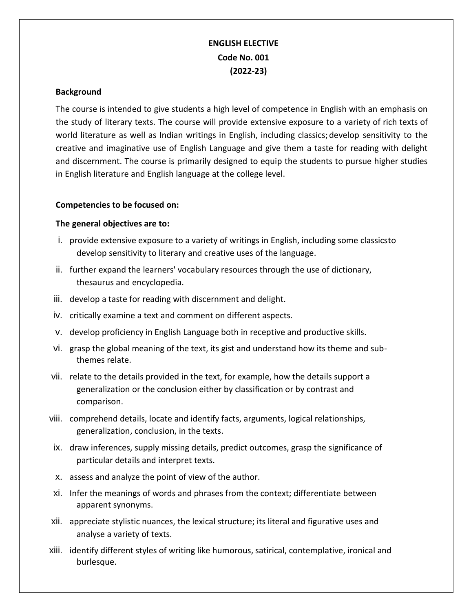# **ENGLISH ELECTIVE Code No. 001 (2022-23)**

#### **Background**

The course is intended to give students a high level of competence in English with an emphasis on the study of literary texts. The course will provide extensive exposure to a variety of rich texts of world literature as well as Indian writings in English, including classics; develop sensitivity to the creative and imaginative use of English Language and give them a taste for reading with delight and discernment. The course is primarily designed to equip the students to pursue higher studies in English literature and English language at the college level.

#### **Competencies to be focused on:**

### **The general objectives are to:**

- i. provide extensive exposure to a variety of writings in English, including some classicsto develop sensitivity to literary and creative uses of the language.
- ii. further expand the learners' vocabulary resources through the use of dictionary, thesaurus and encyclopedia.
- iii. develop a taste for reading with discernment and delight.
- iv. critically examine a text and comment on different aspects.
- v. develop proficiency in English Language both in receptive and productive skills.
- vi. grasp the global meaning of the text, its gist and understand how its theme and subthemes relate.
- vii. relate to the details provided in the text, for example, how the details support a generalization or the conclusion either by classification or by contrast and comparison.
- viii. comprehend details, locate and identify facts, arguments, logical relationships, generalization, conclusion, in the texts.
- ix. draw inferences, supply missing details, predict outcomes, grasp the significance of particular details and interpret texts.
- x. assess and analyze the point of view of the author.
- xi. Infer the meanings of words and phrases from the context; differentiate between apparent synonyms.
- xii. appreciate stylistic nuances, the lexical structure; its literal and figurative uses and analyse a variety of texts.
- xiii. identify different styles of writing like humorous, satirical, contemplative, ironical and burlesque.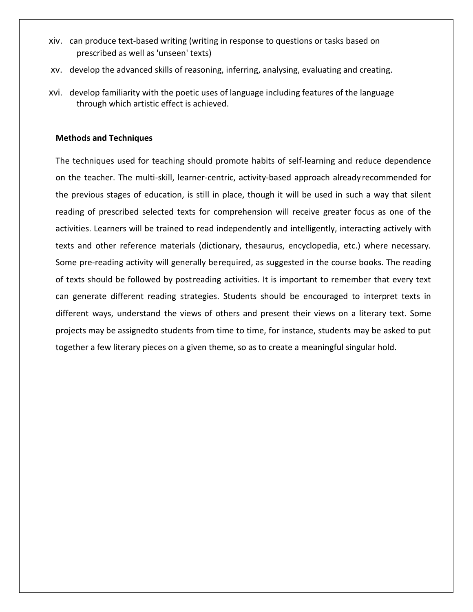- xiv. can produce text-based writing (writing in response to questions or tasks based on prescribed as well as 'unseen' texts)
- xv. develop the advanced skills of reasoning, inferring, analysing, evaluating and creating.
- xvi. develop familiarity with the poetic uses of language including features of the language through which artistic effect is achieved.

#### **Methods and Techniques**

The techniques used for teaching should promote habits of self-learning and reduce dependence on the teacher. The multi-skill, learner-centric, activity-based approach already recommended for the previous stages of education, is still in place, though it will be used in such a way that silent reading of prescribed selected texts for comprehension will receive greater focus as one of the activities. Learners will be trained to read independently and intelligently, interacting actively with texts and other reference materials (dictionary, thesaurus, encyclopedia, etc.) where necessary. Some pre-reading activity will generally berequired, as suggested in the course books. The reading of texts should be followed by postreading activities. It is important to remember that every text can generate different reading strategies. Students should be encouraged to interpret texts in different ways, understand the views of others and present their views on a literary text. Some projects may be assignedto students from time to time, for instance, students may be asked to put together a few literary pieces on a given theme, so as to create a meaningful singular hold.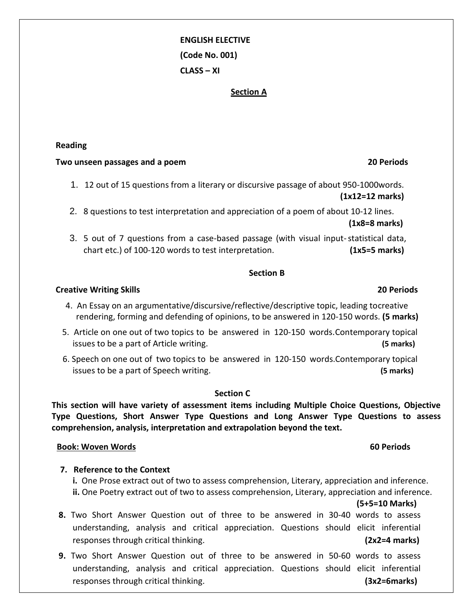# **ENGLISH ELECTIVE (Code No. 001) CLASS – XI**

#### **Section A**

#### **Reading**

#### **Two unseen passages and a poem 20 Periods**

- 1. 12 out of 15 questions from a literary or discursive passage of about 950-1000words. **(1x12=12 marks)**
- 2. 8 questions to test interpretation and appreciation of a poem of about 10-12 lines.  **(1x8=8 marks)**
- 3. 5 out of 7 questions from a case-based passage (with visual input-statistical data, chart etc.) of 100-120 words to test interpretation. **(1x5=5 marks)**

#### **Section B**

#### **Creative Writing Skills 20 Periods**

- 4. An Essay on an argumentative/discursive/reflective/descriptive topic, leading tocreative rendering, forming and defending of opinions, to be answered in 120-150 words. **(5 marks)**
- 5.Article on one out of two topics to be answered in 120-150 words.Contemporary topical issues to be a part of Article writing. **(5 marks)**
- 6. Speech on one out of two topics to be answered in 120-150 words.Contemporary topical issues to be a part of Speech writing. **(5 marks)**

#### **Section C**

**This section will have variety of assessment items including Multiple Choice Questions, Objective Type Questions, Short Answer Type Questions and Long Answer Type Questions to assess comprehension, analysis, interpretation and extrapolation beyond the text.**

#### **Book: Woven Words 60 Periods**

#### **7. Reference to the Context**

 **i.** One Prose extract out of two to assess comprehension, Literary, appreciation and inference. **ii.** One Poetry extract out of two to assess comprehension, Literary, appreciation and inference.

**(5+5=10 Marks)**

- **8.** Two Short Answer Question out of three to be answered in 30-40 words to assess understanding, analysis and critical appreciation. Questions should elicit inferential responses through critical thinking. **(2x2=4 marks)**
- **9.** Two Short Answer Question out of three to be answered in 50-60 words to assess understanding, analysis and critical appreciation. Questions should elicit inferential responses through critical thinking. **(3x2=6marks)**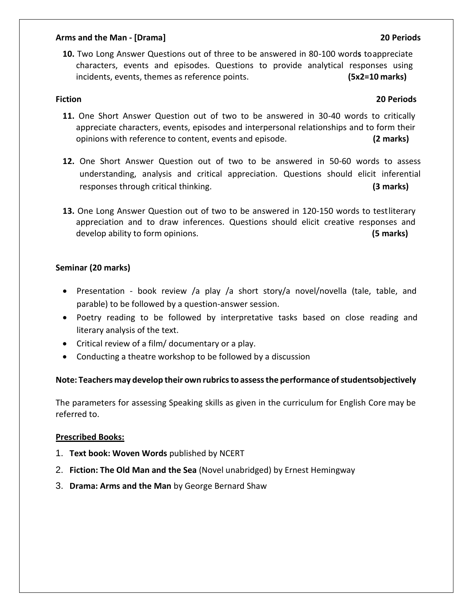#### **Arms and the Man - [Drama] 20 Periods**

**10.** Two Long Answer Questions out of three to be answered in 80-100 word**s** toappreciate characters, events and episodes. Questions to provide analytical responses using incidents, events, themes as reference points. **(5x2=10 marks)**

# **Fiction 20 Periods**

- **11.** One Short Answer Question out of two to be answered in 30-40 words to critically appreciate characters, events, episodes and interpersonal relationships and to form their opinions with reference to content, events and episode. **(2 marks)**
- **12.** One Short Answer Question out of two to be answered in 50-60 words to assess understanding, analysis and critical appreciation. Questions should elicit inferential responses through critical thinking. **(3 marks)**
- **13.** One Long Answer Question out of two to be answered in 120-150 words to testliterary appreciation and to draw inferences. Questions should elicit creative responses and develop ability to form opinions. **(5 marks)**

## **Seminar (20 marks)**

- Presentation book review /a play /a short story/a novel/novella (tale, table, and parable) to be followed by a question-answer session.
- Poetry reading to be followed by interpretative tasks based on close reading and literary analysis of the text.
- Critical review of a film/ documentary or a play.
- Conducting a theatre workshop to be followed by a discussion

## **Note: Teachers may develop their own rubricsto assessthe performance ofstudentsobjectively**

The parameters for assessing Speaking skills as given in the curriculum for English Core may be referred to.

#### **Prescribed Books:**

- 1. **Text book: Woven Words** published by NCERT
- 2. **Fiction: The Old Man and the Sea** (Novel unabridged) by Ernest Hemingway
- 3. **Drama: Arms and the Man** by George Bernard Shaw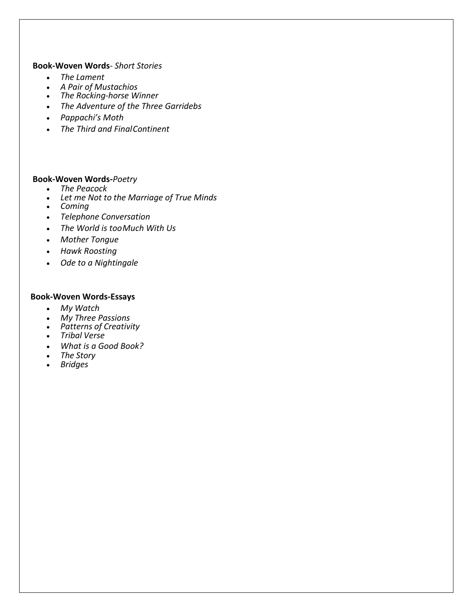#### **Book-Woven Words***- Short Stories*

- *The Lament*
- *A Pair of Mustachios*
- *The Rocking-horse Winner*
- *The Adventure of the Three Garridebs*
- *Pappachi's Moth*
- *The Third and FinalContinent*

#### **Book-Woven Words-***Poetry*

- *The Peacock*
- *Let me Not to the Marriage of True Minds*
- *Coming*
- *Telephone Conversation*
- *The World is tooMuch With Us*
- *Mother Tongue*
- *Hawk Roosting*
- *Ode to a Nightingale*

#### **Book-Woven Words-Essays**

- *My Watch*
- *My Three Passions*
- *Patterns of Creativity*
- *Tribal Verse*
- *What is a Good Book?*
- *The Story*
- *Bridges*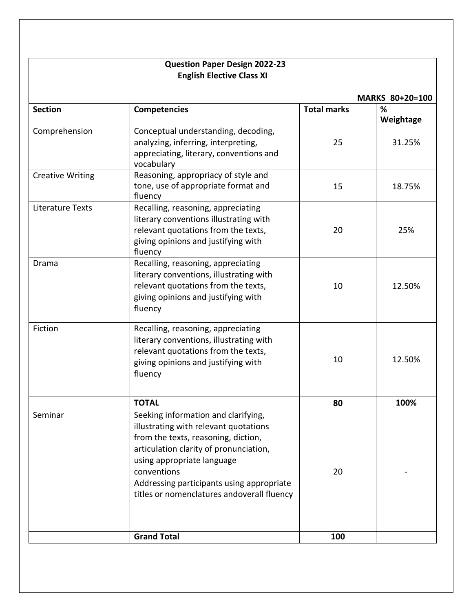# **Question Paper Design 2022-23 English Elective Class XI**

|                         |                                                                                                                                                                                                                                                                                                       |                    | MARKS 80+20=100 |  |  |
|-------------------------|-------------------------------------------------------------------------------------------------------------------------------------------------------------------------------------------------------------------------------------------------------------------------------------------------------|--------------------|-----------------|--|--|
| <b>Section</b>          | <b>Competencies</b>                                                                                                                                                                                                                                                                                   | <b>Total marks</b> | %<br>Weightage  |  |  |
| Comprehension           | Conceptual understanding, decoding,<br>analyzing, inferring, interpreting,<br>appreciating, literary, conventions and<br>vocabulary                                                                                                                                                                   | 25                 | 31.25%          |  |  |
| <b>Creative Writing</b> | Reasoning, appropriacy of style and<br>tone, use of appropriate format and<br>fluency                                                                                                                                                                                                                 | 15                 | 18.75%          |  |  |
| <b>Literature Texts</b> | Recalling, reasoning, appreciating<br>literary conventions illustrating with<br>relevant quotations from the texts,<br>giving opinions and justifying with<br>fluency                                                                                                                                 | 20                 | 25%             |  |  |
| Drama                   | Recalling, reasoning, appreciating<br>literary conventions, illustrating with<br>relevant quotations from the texts,<br>giving opinions and justifying with<br>fluency                                                                                                                                | 10                 | 12.50%          |  |  |
| Fiction                 | Recalling, reasoning, appreciating<br>literary conventions, illustrating with<br>relevant quotations from the texts,<br>giving opinions and justifying with<br>fluency                                                                                                                                | 10                 | 12.50%          |  |  |
|                         | <b>TOTAL</b>                                                                                                                                                                                                                                                                                          | 80                 | 100%            |  |  |
| Seminar                 | Seeking information and clarifying,<br>illustrating with relevant quotations<br>from the texts, reasoning, diction,<br>articulation clarity of pronunciation,<br>using appropriate language<br>conventions<br>Addressing participants using appropriate<br>titles or nomenclatures andoverall fluency | 20                 |                 |  |  |
|                         | <b>Grand Total</b>                                                                                                                                                                                                                                                                                    | 100                |                 |  |  |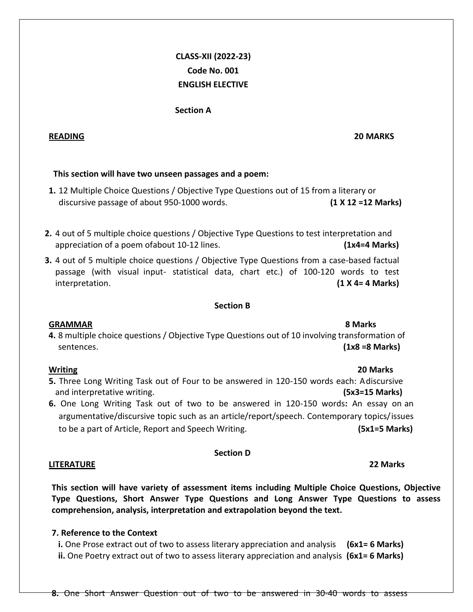# **CLASS-XII (2022-23) Code No. 001 ENGLISH ELECTIVE**

**Section A**

## **READING 20 MARKS**

# **This section will have two unseen passages and a poem:**

- **1.** 12 Multiple Choice Questions / Objective Type Questions out of 15 from a literary or discursive passage of about 950-1000 words. **(1 X 12 =12 Marks)**
- **2.** 4 out of 5 multiple choice questions / Objective Type Questions to test interpretation and appreciation of a poem ofabout 10-12 lines. **(1x4=4 Marks)**
- **3.** 4 out of 5 multiple choice questions / Objective Type Questions from a case-based factual passage (with visual input- statistical data, chart etc.) of 100-120 words to test interpretation. **(1 X 4= 4 Marks)**

### **Section B**

## **GRAMMAR 8 Marks**

**4.** 8 multiple choice questions / Objective Type Questions out of 10 involving transformation of sentences. **(1x8 =8 Marks)**

- **5.** Three Long Writing Task out of Four to be answered in 120-150 words each: Adiscursive and interpretative writing. **(5x3=15 Marks)**
- **6.** One Long Writing Task out of two to be answered in 120-150 words**:** An essay on an argumentative/discursive topic such as an article/report/speech. Contemporary topics/issues to be a part of Article, Report and Speech Writing. **(5x1=5 Marks)**

## **Section D**

## **LITERATURE 22 Marks**

**This section will have variety of assessment items including Multiple Choice Questions, Objective Type Questions, Short Answer Type Questions and Long Answer Type Questions to assess comprehension, analysis, interpretation and extrapolation beyond the text.**

# **7. Reference to the Context**

**i.** One Prose extract out of two to assess literary appreciation and analysis **(6x1= 6 Marks) ii.** One Poetry extract out of two to assess literary appreciation and analysis **(6x1= 6 Marks)**

**8.** One Short Answer Question out of two to be answered in 30-40 words to assess

# **Writing 20 Marks**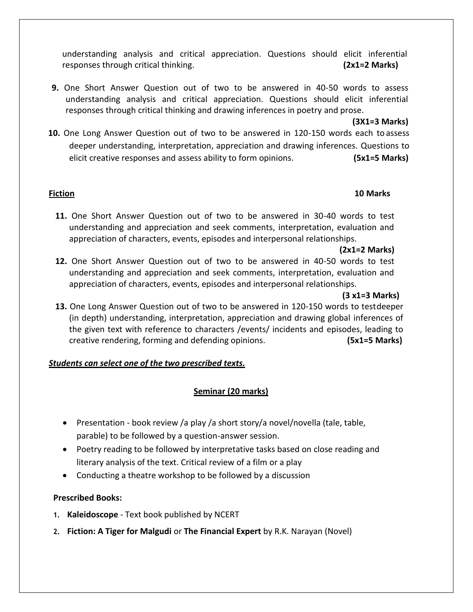understanding analysis and critical appreciation. Questions should elicit inferential responses through critical thinking. **(2x1=2 Marks)**

**9.** One Short Answer Question out of two to be answered in 40-50 words to assess understanding analysis and critical appreciation. Questions should elicit inferential responses through critical thinking and drawing inferences in poetry and prose.

### **(3X1=3 Marks)**

**10.** One Long Answer Question out of two to be answered in 120-150 words each to assess deeper understanding, interpretation, appreciation and drawing inferences. Questions to elicit creative responses and assess ability to form opinions. **(5x1=5 Marks)**

### **Fiction 10 Marks**

**11.** One Short Answer Question out of two to be answered in 30-40 words to test understanding and appreciation and seek comments, interpretation, evaluation and appreciation of characters, events, episodes and interpersonal relationships.

## **(2x1=2 Marks)**

**12.** One Short Answer Question out of two to be answered in 40-50 words to test understanding and appreciation and seek comments, interpretation, evaluation and appreciation of characters, events, episodes and interpersonal relationships.

## **(3 x1=3 Marks)**

**13.** One Long Answer Question out of two to be answered in 120-150 words to testdeeper (in depth) understanding, interpretation, appreciation and drawing global inferences of the given text with reference to characters /events/ incidents and episodes, leading to creative rendering, forming and defending opinions. **(5x1=5 Marks)**

# *Students can select one of the two prescribed texts.*

# **Seminar (20 marks)**

- Presentation book review /a play /a short story/a novel/novella (tale, table, parable) to be followed by a question-answer session.
- Poetry reading to be followed by interpretative tasks based on close reading and literary analysis of the text. Critical review of a film or a play
- Conducting a theatre workshop to be followed by a discussion

# **Prescribed Books:**

- **1. Kaleidoscope** Text book published by NCERT
- **2. Fiction: A Tiger for Malgudi** or **The Financial Expert** by R.K. Narayan (Novel)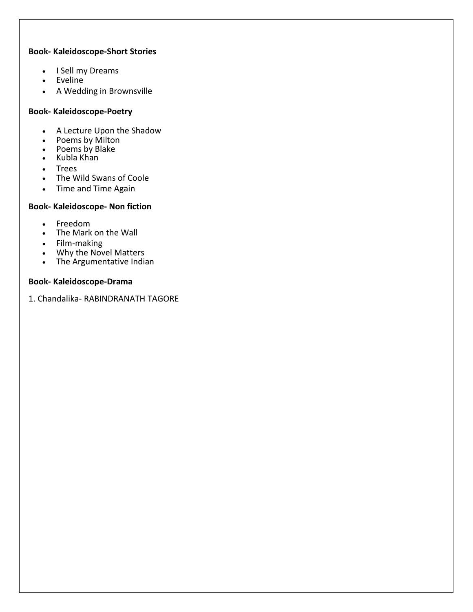### **Book- Kaleidoscope-Short Stories**

- I Sell my Dreams
- Eveline
- A Wedding in Brownsville

### **Book- Kaleidoscope-Poetry**

- A Lecture Upon the Shadow
- Poems by Milton
- Poems by Blake
- $\bullet$  Kubla Khan
- Trees
- The Wild Swans of Coole
- Time and Time Again

# **Book- Kaleidoscope- Non fiction**

- Freedom
- The Mark on the Wall
- Film-making
- Why the Novel Matters
- The Argumentative Indian

### **Book- Kaleidoscope-Drama**

1. Chandalika- RABINDRANATH TAGORE